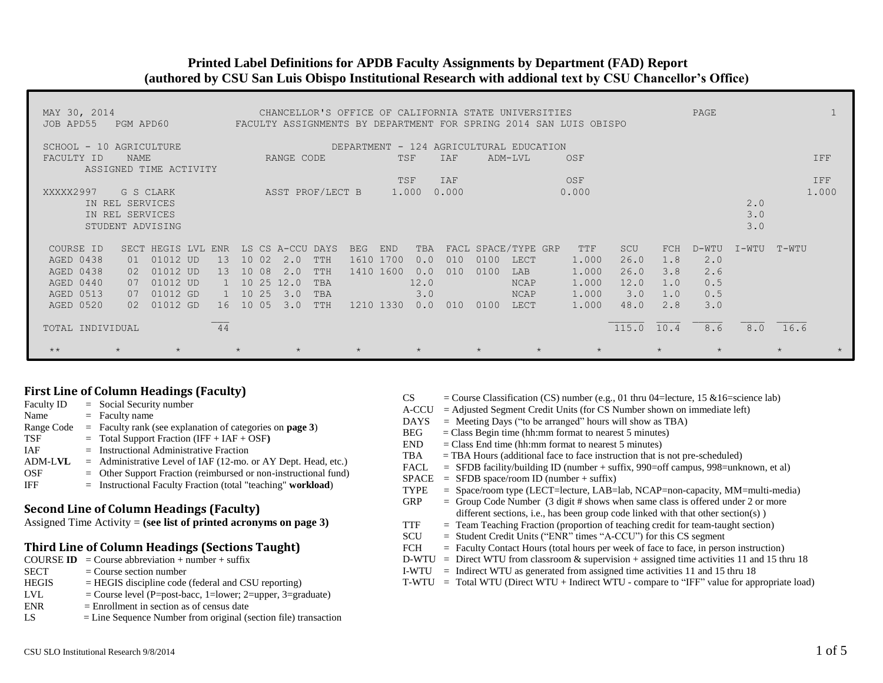# **Printed Label Definitions for APDB Faculty Assignments by Department (FAD) Report (authored by CSU San Luis Obispo Institutional Research with addional text by CSU Chancellor's Office)**

| MAY 30, 2014<br>JOB APD55                                                  | PGM APD60                                                                                                                             |                                                                                                                                                           |                                                                                      |                                                                            | CHANCELLOR'S OFFICE OF CALIFORNIA STATE UNIVERSITIES<br>FACULTY ASSIGNMENTS BY DEPARTMENT FOR SPRING 2014 SAN LUIS OBISPO                            | PAGE                                                                                          |                                            |              |
|----------------------------------------------------------------------------|---------------------------------------------------------------------------------------------------------------------------------------|-----------------------------------------------------------------------------------------------------------------------------------------------------------|--------------------------------------------------------------------------------------|----------------------------------------------------------------------------|------------------------------------------------------------------------------------------------------------------------------------------------------|-----------------------------------------------------------------------------------------------|--------------------------------------------|--------------|
| SCHOOL - 10 AGRICULTURE<br>FACULTY ID                                      | NAME<br>ASSIGNED TIME ACTIVITY                                                                                                        | RANGE CODE                                                                                                                                                |                                                                                      | IAF<br>TSF                                                                 | DEPARTMENT - 124 AGRICULTURAL EDUCATION<br>ADM-LVL<br>OSF                                                                                            |                                                                                               |                                            | IFF          |
| XXXXX2997<br>IN REL SERVICES<br>IN REL SERVICES                            | G S CLARK<br>STUDENT ADVISING                                                                                                         |                                                                                                                                                           | ASST PROF/LECT B                                                                     | TSF<br>IAF<br>1,000<br>0.000                                               | OSF<br>0.000                                                                                                                                         |                                                                                               | 2.0<br>3.0<br>3.0                          | IFF<br>1,000 |
| COURSE ID<br>AGED 0438<br>AGED 0438<br>AGED 0440<br>AGED 0513<br>AGED 0520 | T.VT.<br><b>ENR</b><br><b>SECT</b><br>HEGIS<br>01012 UD<br>01<br>01012 UD<br>02<br>01012 UD<br>07<br>01012 GD<br>07<br>01012 GD<br>02 | LS CS A-CCU DAYS<br>10 <sup>°</sup><br>02<br>2.0<br>13<br>08<br>2.0<br>13<br>10<br>10 25<br>12.0<br>25<br>10<br>3.0<br>10 <sup>°</sup><br>05<br>3.0<br>16 | BEG<br>1610 1700<br><b>TTH</b><br>TTH<br>1410 1600<br>TBA<br>TBA<br>TTH<br>1210 1330 | <b>END</b><br>TBA<br>010<br>0.0<br>010<br>0.0<br>12.0<br>3.0<br>0.0<br>010 | FACL SPACE/TYPE GRP<br>TTF<br>0100<br>1.000<br>LECT<br>0100<br>1.000<br>LAB<br>1.000<br><b>NCAP</b><br>1,000<br><b>NCAP</b><br>0100<br>1.000<br>LECT | SCU<br>D-WTU<br>FCH<br>26.0<br>1.8<br>26.0<br>3.8<br>12.0<br>1.0<br>3.0<br>1.0<br>2.8<br>48.0 | $I-WTU$<br>2.0<br>2.6<br>0.5<br>0.5<br>3.0 | $T-WTI$      |
| TOTAL INDIVIDUAL<br>$\star\star$                                           | $\star$                                                                                                                               | 44<br>$\star$                                                                                                                                             |                                                                                      | $\star$                                                                    | $\star$                                                                                                                                              | 115.0 10.4<br>$\star$                                                                         | 8.6                                        | 8.0 16.6     |

## **First Line of Column Headings (Faculty)**

| $=$ Social Security number                                         |
|--------------------------------------------------------------------|
| $=$ Faculty name                                                   |
| $=$ Faculty rank (see explanation of categories on <b>page 3</b> ) |
| $=$ Total Support Fraction (IFF + IAF + OSF)                       |
| $=$ Instructional Administrative Fraction                          |
| $=$ Administrative Level of IAF (12-mo. or AY Dept. Head, etc.)    |
| $=$ Other Support Fraction (reimbursed or non-instructional fund)  |
| $=$ Instructional Faculty Fraction (total "teaching" workload)     |
|                                                                    |

#### **Second Line of Column Headings (Faculty)**

Assigned Time Activity = **(see list of printed acronyms on page 3)**

#### **Third Line of Column Headings (Sections Taught)**

- **COURSE ID** = Course abbreviation + number + suffix<br>SECT = Course section number
- $=$  Course section number
- $HEGIS$  = HEGIS discipline code (federal and CSU reporting)
- LVL  $=$  Course level (P=post-bacc, 1=lower; 2=upper, 3=graduate)
- $ENR = Enrollment in section as of census date$
- LS = Line Sequence Number from original (section file) transaction
- CS = Course Classification (CS) number (e.g., 01 thru 04=lecture, 15  $\&$ 16=science lab)  $A-CCU = Adjusted Segment Credit Units (for CS Number shown on immediate left)$  $DAYS$  = Meeting Days ("to be arranged" hours will show as TBA)  $BEG = Class Begin time (hh:mm format to nearest 5 minutes)$  $END = Class End time (hh:mm format to nearest 5 minutes)$  $TBA$  = TBA Hours (additional face to face instruction that is not pre-scheduled) FACL = SFDB facility/building ID (number + suffix, 990=off campus, 998=unknown, et al)  $SPACE = SFDB space/room ID (number + suffix)$ TYPE = Space/room type (LECT=lecture, LAB=lab, NCAP=non-capacity, MM=multi-media) GRP  $=$  Group Code Number (3 digit # shows when same class is offered under 2 or more different sections, i.e., has been group code linked with that other section(s)) TTF = Team Teaching Fraction (proportion of teaching credit for team-taught section) SCU = Student Credit Units ("ENR" times "A-CCU") for this CS segment FCH = Faculty Contact Hours (total hours per week of face to face, in person instruction) D-WTU = Direct WTU from classroom  $\&$  supervision + assigned time activities 11 and 15 thru 18 I-WTU = Indirect WTU as generated from assigned time activities 11 and 15 thru 18 T-WTU = Total WTU (Direct WTU + Indirect WTU - compare to "IFF" value for appropriate load)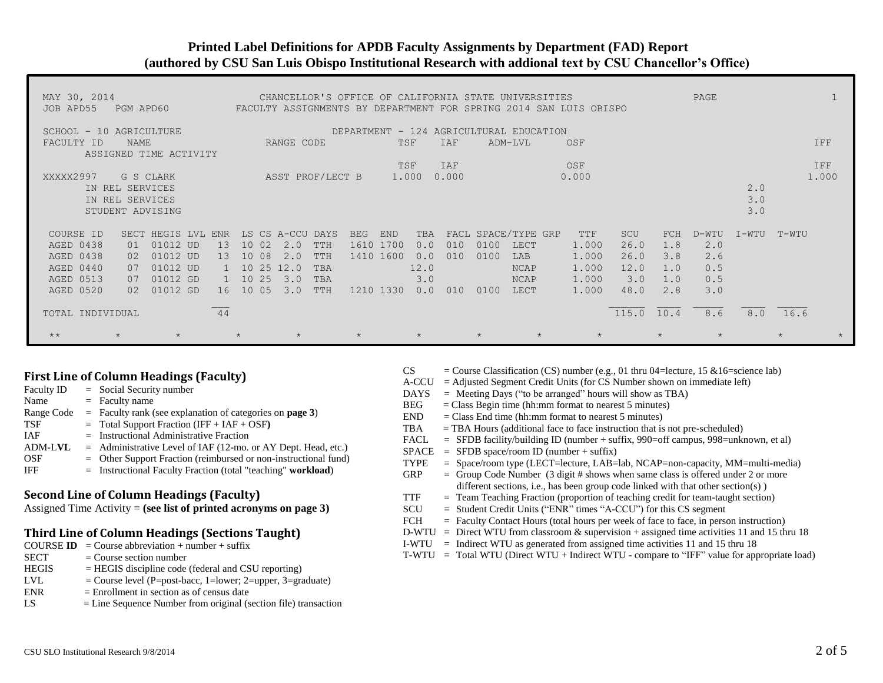## **Printed Label Definitions for APDB Faculty Assignments by Department (FAD) Report (authored by CSU San Luis Obispo Institutional Research with addional text by CSU Chancellor's Office)**

| MAY 30, 2014<br>JOB APD55                                                                                                                                               | PAGE<br>CHANCELLOR'S OFFICE OF CALIFORNIA STATE UNIVERSITIES<br>FACULTY ASSIGNMENTS BY DEPARTMENT FOR SPRING 2014 SAN LUIS OBISPO<br>PGM APD60 |                                                                                                                    |                                                                                               |                                                                 |                                                                      |                                                                                      |                                                                                                |                                                                                    |                   |              |
|-------------------------------------------------------------------------------------------------------------------------------------------------------------------------|------------------------------------------------------------------------------------------------------------------------------------------------|--------------------------------------------------------------------------------------------------------------------|-----------------------------------------------------------------------------------------------|-----------------------------------------------------------------|----------------------------------------------------------------------|--------------------------------------------------------------------------------------|------------------------------------------------------------------------------------------------|------------------------------------------------------------------------------------|-------------------|--------------|
| DEPARTMENT - 124 AGRICULTURAL EDUCATION<br>SCHOOL - 10 AGRICULTURE<br><b>IAF</b><br>FACULTY ID<br>NAME<br>RANGE CODE<br>TSF<br>ADM-LVL<br>OSF<br>ASSIGNED TIME ACTIVITY |                                                                                                                                                |                                                                                                                    |                                                                                               |                                                                 |                                                                      |                                                                                      |                                                                                                |                                                                                    |                   | IFF          |
| XXXXX2997<br>IN REL SERVICES<br>IN REL SERVICES<br>STUDENT ADVISING                                                                                                     | G S CLARK                                                                                                                                      |                                                                                                                    | ASST PROF/LECT B                                                                              |                                                                 | IAF<br>TSF<br>1.000<br>0.000                                         |                                                                                      | OSF<br>0.000                                                                                   |                                                                                    | 2.0<br>3.0<br>3.0 | IFF<br>1,000 |
| COURSE ID<br>SECT<br>AGED 0438<br>01<br>AGED 0438<br>AGED 0440<br>07<br><b>AGED 0513</b><br>07<br>AGED 0520                                                             | <b>HEGTS</b><br>T.VT.<br>01012 UD<br>01012 UD<br>02<br>01012 UD<br>01012 GD<br>01012 GD<br>02 <sup>2</sup>                                     | <b>ENR</b><br>T.S.<br>10 02<br>13<br>13<br>10<br>25<br>10<br>2.5<br>10 <sup>1</sup><br>10 <sup>°</sup><br>05<br>16 | CS A-CCU<br>DAYS<br>2.0<br>TTH<br>08<br>TTH<br>2.0<br>12.0<br>TBA<br>3.0<br>TBA<br>3.0<br>TTH | <b>END</b><br><b>BEG</b><br>1610 1700<br>1410 1600<br>1210 1330 | TBA<br>FACL<br>0.0<br>010<br>0.0<br>010<br>12.0<br>3.0<br>0.0<br>010 | SPACE/TYPE GRP<br>0100<br>LECT<br>0100<br>LAB<br><b>NCAP</b><br>NCAP<br>0100<br>LECT | SCU<br>TTF<br>1.000<br>26.0<br>1,000<br>26.0<br>1.000<br>12.0<br>1,000<br>3.0<br>1.000<br>48.0 | FCH<br>D-WTU<br>2.0<br>1.8<br>3.8<br>2.6<br>0.5<br>1.0<br>0.5<br>1.0<br>3.0<br>2.8 | I-WTU             | T-WTU        |
| TOTAL INDIVIDUAL<br>$+ +$                                                                                                                                               | $\star$                                                                                                                                        | 44                                                                                                                 | $\star$                                                                                       |                                                                 | $\star$                                                              | $\star$                                                                              | 115.0 10.4                                                                                     | 8.6<br>$\star$                                                                     |                   | $8.0$ 16.6   |

## **First Line of Column Headings (Faculty)**

| <b>Faculty ID</b> | $=$ Social Security number                                         |
|-------------------|--------------------------------------------------------------------|
| Name              | $=$ Faculty name                                                   |
| Range Code        | $=$ Faculty rank (see explanation of categories on <b>page 3</b> ) |
| TSF               | $=$ Total Support Fraction (IFF + IAF + OSF)                       |
| <b>IAF</b>        | $=$ Instructional Administrative Fraction                          |
| ADM-LVL           | $=$ Administrative Level of IAF (12-mo. or AY Dept. Head, etc.)    |
| <b>OSF</b>        | $=$ Other Support Fraction (reimbursed or non-instructional fund)  |
| IFF               | $=$ Instructional Faculty Fraction (total "teaching" workload)     |

# **Second Line of Column Headings (Faculty)**

Assigned Time Activity = **(see list of printed acronyms on page 3)**

#### **Third Line of Column Headings (Sections Taught)**

- **COURSE ID** = Course abbreviation + number + suffix
- $SECTION = Course section number$
- $HEGIS$  = HEGIS discipline code (federal and CSU reporting)
- LVL  $=$  Course level (P=post-bacc, 1=lower; 2=upper, 3=graduate)
- $ENR = Enrollment in section as of census date$
- LS = Line Sequence Number from original (section file) transaction
- CS  $=$  Course Classification (CS) number (e.g., 01 thru 04=lecture, 15 &16=science lab)
- A-CCU = Adjusted Segment Credit Units (for CS Number shown on immediate left)
- $DAYS$  = Meeting Days ("to be arranged" hours will show as TBA)
- $BEG = Class Begin time (hh:mm format to nearest 5 minutes)$
- $END = Class End time (hh:mm format to nearest 5 minutes)$
- $TBA = TBA$  Hours (additional face to face instruction that is not pre-scheduled)
- FACL = SFDB facility/building ID (number + suffix, 990=off campus, 998=unknown, et al)
- $SPACE = SFDB space/room ID (number + suffix)$
- TYPE = Space/room type (LECT=lecture, LAB=lab, NCAP=non-capacity, MM=multi-media)
- GRP  $=$  Group Code Number (3 digit # shows when same class is offered under 2 or more different sections, i.e., has been group code linked with that other section(s)  $)$
- TTF = Team Teaching Fraction (proportion of teaching credit for team-taught section)
- SCU = Student Credit Units ("ENR" times "A-CCU") for this CS segment
- FCH = Faculty Contact Hours (total hours per week of face to face, in person instruction)
- D-WTU = Direct WTU from classroom  $\&$  supervision + assigned time activities 11 and 15 thru 18
- I-WTU = Indirect WTU as generated from assigned time activities 11 and 15 thru 18
- T-WTU = Total WTU (Direct WTU + Indirect WTU compare to "IFF" value for appropriate load)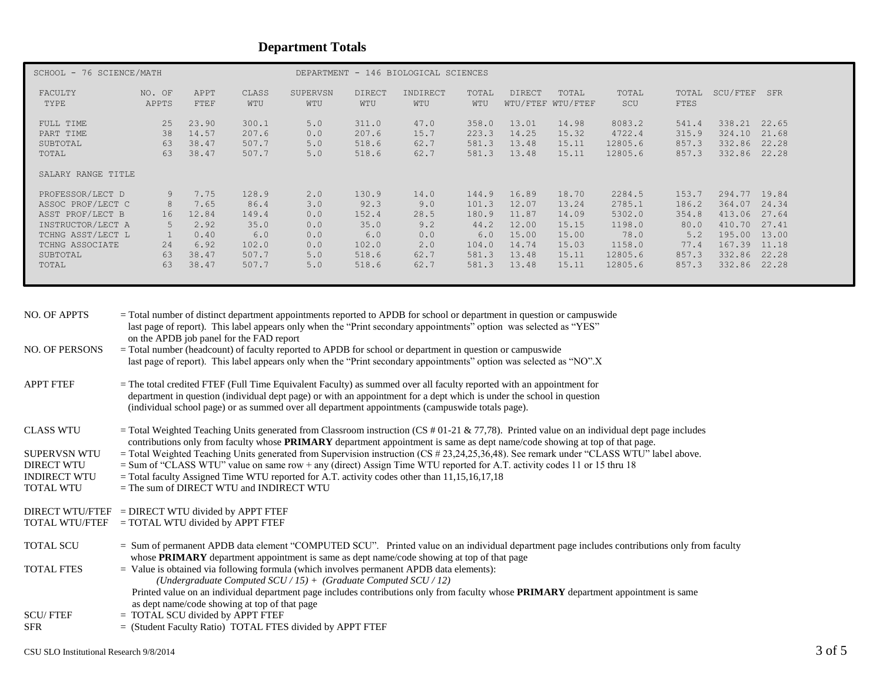# **Department Totals**

| SCHOOL - 76 SCIENCE/MATH                    |                      |                                  |                                  | DEPARTMENT - 146 BIOLOGICAL SCIENCES |                                  |                              |                                  |                                  |                                  |                                        |                                  |                                      |                                  |
|---------------------------------------------|----------------------|----------------------------------|----------------------------------|--------------------------------------|----------------------------------|------------------------------|----------------------------------|----------------------------------|----------------------------------|----------------------------------------|----------------------------------|--------------------------------------|----------------------------------|
| FACULTY<br>TYPE                             | NO. OF<br>APPTS      | APPT<br>FTEF                     | CLASS<br>WTU                     | SUPERVSN<br>WTU                      | <b>DIRECT</b><br>WTU             | INDIRECT<br>WTU              | TOTAL<br>WTU                     | <b>DIRECT</b>                    | TOTAL<br>WTU/FTEF WTU/FTEF       | TOTAL<br>SCU                           | TOTAL<br>FTES                    | SCU/FTEF                             | SFR                              |
| FULL TIME<br>PART TIME<br>SUBTOTAL<br>TOTAL | 25<br>38<br>63<br>63 | 23.90<br>14.57<br>38.47<br>38.47 | 300.1<br>207.6<br>507.7<br>507.7 | 5.0<br>0.0<br>5.0<br>5.0             | 311.0<br>207.6<br>518.6<br>518.6 | 47.0<br>15.7<br>62.7<br>62.7 | 358.0<br>223.3<br>581.3<br>581.3 | 13.01<br>14.25<br>13.48<br>13.48 | 14.98<br>15.32<br>15.11<br>15.11 | 8083.2<br>4722.4<br>12805.6<br>12805.6 | 541.4<br>315.9<br>857.3<br>857.3 | 338.21<br>324.10<br>332.86<br>332.86 | 22.65<br>21.68<br>22.28<br>22.28 |
| SALARY RANGE TITLE                          |                      |                                  |                                  |                                      |                                  |                              |                                  |                                  |                                  |                                        |                                  |                                      |                                  |
| PROFESSOR/LECT D                            | 9                    | 7.75                             | 128.9                            | 2.0                                  | 130.9                            | 14.0                         | 144.9                            | 16.89                            | 18.70                            | 2284.5                                 | 153.7                            | 294.77                               | 19.84                            |
| ASSOC PROF/LECT C                           | 8                    | 7.65                             | 86.4                             | 3.0                                  | 92.3                             | 9.0                          | 101.3                            | 12.07                            | 13.24                            | 2785.1                                 | 186.2                            | 364.07                               | 24.34                            |
| ASST PROF/LECT B                            | 16                   | 12.84                            | 149.4                            | 0.0                                  | 152.4                            | 28.5                         | 180.9                            | 11.87                            | 14.09                            | 5302.0                                 | 354.8                            | 413.06                               | 27.64                            |
| INSTRUCTOR/LECT A                           | 5                    | 2.92                             | 35.0                             | 0.0                                  | 35.0                             | 9.2                          | 44.2                             | 12.00                            | 15.15                            | 1198.0                                 | 80.0                             | 410.70                               | 27.41                            |
| TCHNG ASST/LECT L                           |                      | 0.40                             | 6.0                              | 0.0                                  | 6.0                              | 0.0                          | 6.0                              | 15.00                            | 15.00                            | 78.0                                   | 5.2                              | 195.00                               | 13.00                            |
| TCHNG ASSOCIATE                             | 24                   | 6.92                             | 102.0                            | 0.0                                  | 102.0                            | 2.0                          | 104.0                            | 14.74                            | 15.03                            | 1158.0                                 | 77.4                             | 167.39                               | 11.18                            |
| SUBTOTAL                                    | 63                   | 38.47                            | 507.7                            | 5.0                                  | 518.6                            | 62.7                         | 581.3                            | 13.48                            | 15.11                            | 12805.6                                | 857.3                            | 332.86                               | 22.28                            |
| TOTAL                                       | 63                   | 38.47                            | 507.7                            | 5.0                                  | 518.6                            | 62.7                         | 581.3                            | 13.48                            | 15.11                            | 12805.6                                | 857.3                            | 332.86                               | 22.28                            |

| <b>NO. OF APPTS</b>   | = Total number of distinct department appointments reported to APDB for school or department in question or campuswide<br>last page of report). This label appears only when the "Print secondary appointments" option was selected as "YES"<br>on the APDB job panel for the FAD report                                                          |
|-----------------------|---------------------------------------------------------------------------------------------------------------------------------------------------------------------------------------------------------------------------------------------------------------------------------------------------------------------------------------------------|
| <b>NO. OF PERSONS</b> | = Total number (headcount) of faculty reported to APDB for school or department in question or campuswide<br>last page of report). This label appears only when the "Print secondary appointments" option was selected as "NO".X                                                                                                                  |
| <b>APPT FTEF</b>      | = The total credited FTEF (Full Time Equivalent Faculty) as summed over all faculty reported with an appointment for<br>department in question (individual dept page) or with an appointment for a dept which is under the school in question<br>(individual school page) or as summed over all department appointments (campuswide totals page). |
| <b>CLASS WTU</b>      | = Total Weighted Teaching Units generated from Classroom instruction (CS # 01-21 & 77,78). Printed value on an individual dept page includes<br>contributions only from faculty whose PRIMARY department appointment is same as dept name/code showing at top of that page.                                                                       |
| <b>SUPERVSN WTU</b>   | $=$ Total Weighted Teaching Units generated from Supervision instruction (CS # 23,24,25,36,48). See remark under "CLASS WTU" label above.                                                                                                                                                                                                         |
| <b>DIRECT WTU</b>     | $=$ Sum of "CLASS WTU" value on same row + any (direct) Assign Time WTU reported for A.T. activity codes 11 or 15 thru 18                                                                                                                                                                                                                         |
| <b>INDIRECT WTU</b>   | $=$ Total faculty Assigned Time WTU reported for A.T. activity codes other than 11,15,16,17,18<br>$=$ The sum of DIRECT WTU and INDIRECT WTU                                                                                                                                                                                                      |
| <b>TOTAL WTU</b>      |                                                                                                                                                                                                                                                                                                                                                   |
|                       | DIRECT WTU/FTEF = DIRECT WTU divided by APPT FTEF                                                                                                                                                                                                                                                                                                 |
| <b>TOTAL WTU/FTEF</b> | $=$ TOTAL WTU divided by APPT FTEF                                                                                                                                                                                                                                                                                                                |
| <b>TOTAL SCU</b>      | = Sum of permanent APDB data element "COMPUTED SCU". Printed value on an individual department page includes contributions only from faculty<br>whose <b>PRIMARY</b> department appointment is same as dept name/code showing at top of that page                                                                                                 |
| <b>TOTAL FTES</b>     | $=$ Value is obtained via following formula (which involves permanent APDB data elements):                                                                                                                                                                                                                                                        |
|                       | (Undergraduate Computed $SCU/15$ ) + (Graduate Computed $SCU/12$ )<br>Printed value on an individual department page includes contributions only from faculty whose <b>PRIMARY</b> department appointment is same                                                                                                                                 |
|                       | as dept name/code showing at top of that page                                                                                                                                                                                                                                                                                                     |
| <b>SCU/FTEF</b>       | $=$ TOTAL SCU divided by APPT FTEF                                                                                                                                                                                                                                                                                                                |
| <b>SFR</b>            | $=$ (Student Faculty Ratio) TOTAL FTES divided by APPT FTEF                                                                                                                                                                                                                                                                                       |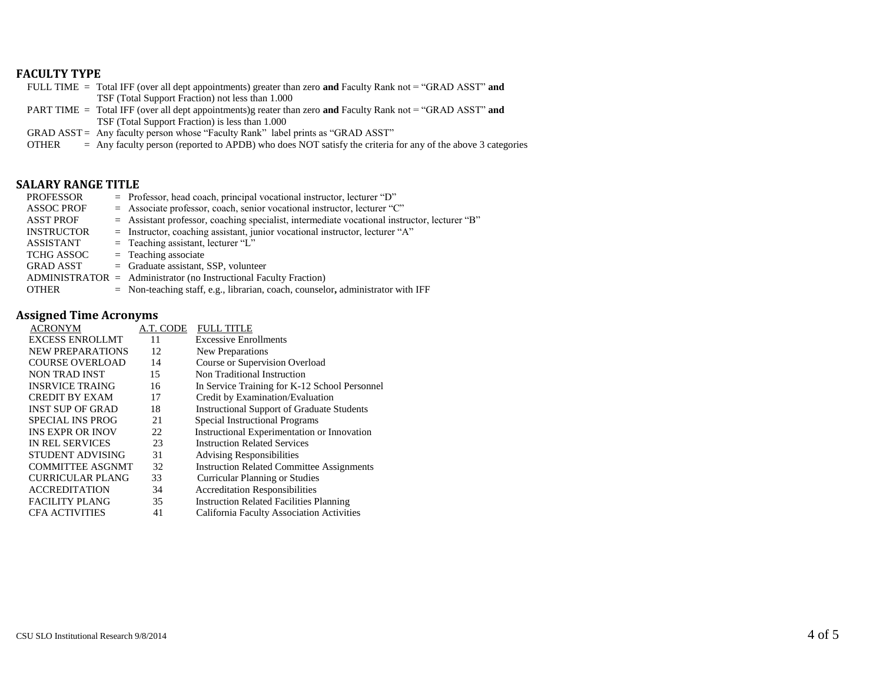## **FACULTY TYPE**

| FULL TIME = Total IFF (over all dept appointments) greater than zero and Faculty Rank not = "GRAD ASST" and |
|-------------------------------------------------------------------------------------------------------------|
| TSF (Total Support Fraction) not less than 1.000                                                            |
| PART TIME = Total IFF (over all dept appointments)g reater than zero and Faculty Rank not = "GRAD ASST" and |
| TSF (Total Support Fraction) is less than 1.000                                                             |

GRAD ASST = Any faculty person whose "Faculty Rank" label prints as "GRAD ASST"

OTHER = Any faculty person (reported to APDB) who does NOT satisfy the criteria for any of the above 3 categories

#### **SALARY RANGE TITLE**

| <b>PROFESSOR</b>  | $=$ Professor, head coach, principal vocational instructor, lecturer "D"                       |
|-------------------|------------------------------------------------------------------------------------------------|
| <b>ASSOC PROF</b> | = Associate professor, coach, senior vocational instructor, lecturer "C"                       |
| <b>ASST PROF</b>  | $=$ Assistant professor, coaching specialist, intermediate vocational instructor, lecturer "B" |
| <b>INSTRUCTOR</b> | = Instructor, coaching assistant, junior vocational instructor, lecturer "A"                   |
| <b>ASSISTANT</b>  | $=$ Teaching assistant, lecturer "L"                                                           |
| <b>TCHG ASSOC</b> | $=$ Teaching associate                                                                         |
| <b>GRAD ASST</b>  | $=$ Graduate assistant, SSP, volunteer                                                         |
|                   | $ADMINISTRATOR =$ Administrator (no Instructional Faculty Fraction)                            |
| <b>OTHER</b>      | $=$ Non-teaching staff, e.g., librarian, coach, counselor, administrator with IFF              |

# **Assigned Time Acronyms**

| <b>ACRONYM</b>          | A.T. CODE | <b>FULL TITLE</b>                                 |
|-------------------------|-----------|---------------------------------------------------|
| <b>EXCESS ENROLLMT</b>  | 11        | <b>Excessive Enrollments</b>                      |
| NEW PREPARATIONS        | 12        | New Preparations                                  |
| <b>COURSE OVERLOAD</b>  | 14        | Course or Supervision Overload                    |
| NON TRAD INST           | 15        | Non Traditional Instruction                       |
| <b>INSRVICE TRAING</b>  | 16        | In Service Training for K-12 School Personnel     |
| <b>CREDIT BY EXAM</b>   | 17        | Credit by Examination/Evaluation                  |
| <b>INST SUP OF GRAD</b> | 18        | <b>Instructional Support of Graduate Students</b> |
| <b>SPECIAL INS PROG</b> | 21        | Special Instructional Programs                    |
| <b>INS EXPR OR INOV</b> | 22        | Instructional Experimentation or Innovation       |
| <b>IN REL SERVICES</b>  | 23        | <b>Instruction Related Services</b>               |
| STUDENT ADVISING        | 31        | <b>Advising Responsibilities</b>                  |
| <b>COMMITTEE ASGNMT</b> | 32        | <b>Instruction Related Committee Assignments</b>  |
| <b>CURRICULAR PLANG</b> | 33        | <b>Curricular Planning or Studies</b>             |
| <b>ACCREDITATION</b>    | 34        | <b>Accreditation Responsibilities</b>             |
| <b>FACILITY PLANG</b>   | 35        | <b>Instruction Related Facilities Planning</b>    |
| <b>CFA ACTIVITIES</b>   | 41        | California Faculty Association Activities         |